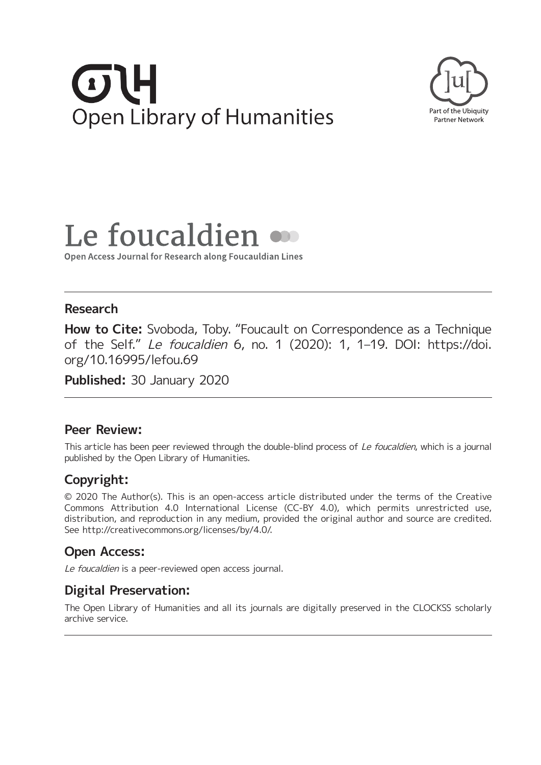# $\sigma$ U **Open Library of Humanities**



# Le foucaldien

Open Access Journal for Research along Foucauldian Lines

### **Research**

**How to Cite:** Svoboda, Toby. "Foucault on Correspondence as a Technique of the Self." Le foucaldien 6, no. 1 (2020): 1, 1–19. DOI: [https://doi.](https://doi.org/10.16995/lefou.69) [org/10.16995/lefou.69](https://doi.org/10.16995/lefou.69)

**Published:** 30 January 2020

### **Peer Review:**

This article has been peer reviewed through the double-blind process of Le foucaldien, which is a journal published by the Open Library of Humanities.

# **Copyright:**

© 2020 The Author(s). This is an open-access article distributed under the terms of the Creative Commons Attribution 4.0 International License (CC-BY 4.0), which permits unrestricted use, distribution, and reproduction in any medium, provided the original author and source are credited. See [http://creativecommons.org/licenses/by/4.0/.](http://creativecommons.org/licenses/by/4.0/)

# **Open Access:**

Le foucaldien is a peer-reviewed open access journal.

# **Digital Preservation:**

The Open Library of Humanities and all its journals are digitally preserved in the CLOCKSS scholarly archive service.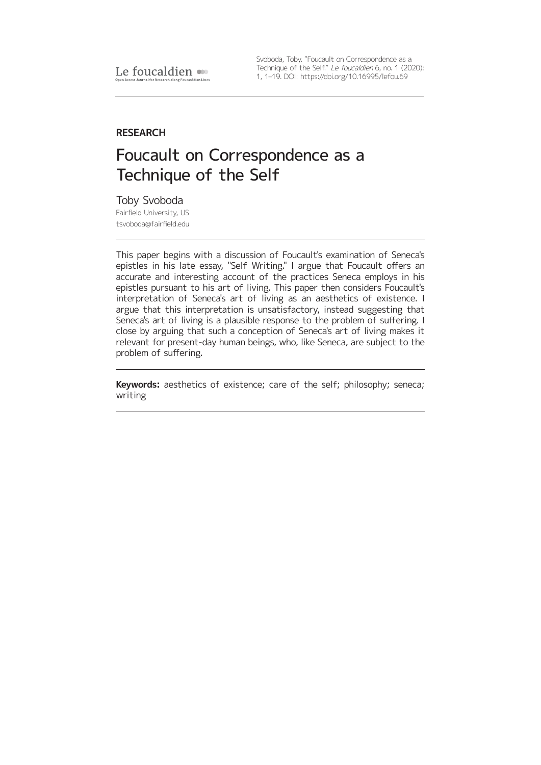Svoboda, Toby. "Foucault on Correspondence as a Technique of the Self." Le foucaldien 6, no. 1 (2020): 1, 1–19. DOI: <https://doi.org/10.16995/lefou.69>

#### **RESEARCH**

# Foucault on Correspondence as a Technique of the Self

Toby Svoboda Fairfield University, US [tsvoboda@fairfield.edu](mailto:tsvoboda@fairfield.edu)

This paper begins with a discussion of Foucault's examination of Seneca's epistles in his late essay, "Self Writing." I argue that Foucault offers an accurate and interesting account of the practices Seneca employs in his epistles pursuant to his art of living. This paper then considers Foucault's interpretation of Seneca's art of living as an aesthetics of existence. I argue that this interpretation is unsatisfactory, instead suggesting that Seneca's art of living is a plausible response to the problem of suffering. I close by arguing that such a conception of Seneca's art of living makes it relevant for present-day human beings, who, like Seneca, are subject to the problem of suffering.

**Keywords:** aesthetics of existence; care of the self; philosophy; seneca; writing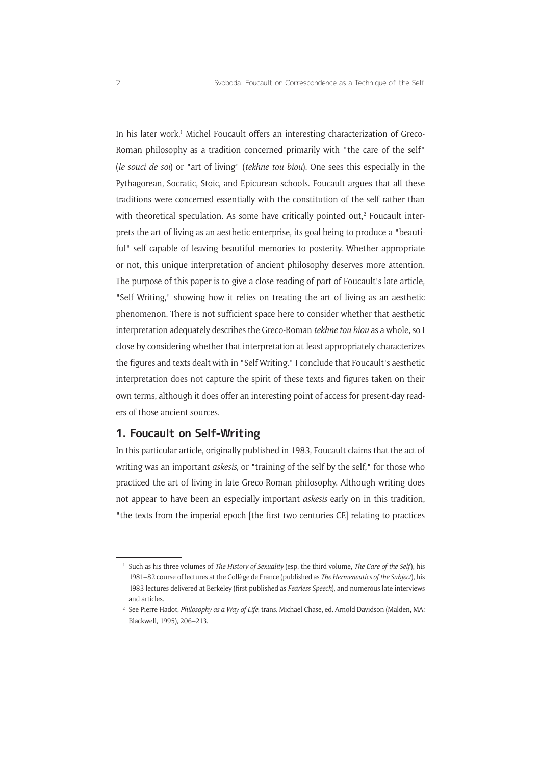In his later work,<sup>1</sup> Michel Foucault offers an interesting characterization of Greco-Roman philosophy as a tradition concerned primarily with "the care of the self" (*le souci de soi*) or "art of living" (*tekhne tou biou*). One sees this especially in the Pythagorean, Socratic, Stoic, and Epicurean schools. Foucault argues that all these traditions were concerned essentially with the constitution of the self rather than with theoretical speculation. As some have critically pointed out, $2$  Foucault interprets the art of living as an aesthetic enterprise, its goal being to produce a "beautiful" self capable of leaving beautiful memories to posterity. Whether appropriate or not, this unique interpretation of ancient philosophy deserves more attention. The purpose of this paper is to give a close reading of part of Foucault's late article, "Self Writing," showing how it relies on treating the art of living as an aesthetic phenomenon. There is not sufficient space here to consider whether that aesthetic interpretation adequately describes the Greco-Roman *tekhne tou biou* as a whole, so I close by considering whether that interpretation at least appropriately characterizes the figures and texts dealt with in "Self Writing." I conclude that Foucault's aesthetic interpretation does not capture the spirit of these texts and figures taken on their own terms, although it does offer an interesting point of access for present-day readers of those ancient sources.

#### **1. Foucault on Self-Writing**

In this particular article, originally published in 1983, Foucault claims that the act of writing was an important *askesis*, or "training of the self by the self," for those who practiced the art of living in late Greco-Roman philosophy. Although writing does not appear to have been an especially important *askesis* early on in this tradition, "the texts from the imperial epoch [the first two centuries CE] relating to practices

<sup>1</sup> Such as his three volumes of *The History of Sexuality* (esp. the third volume, *The Care of the Self*), his 1981–82 course of lectures at the Collège de France (published as *The Hermeneutics of the Subject*), his 1983 lectures delivered at Berkeley (first published as *Fearless Speech*), and numerous late interviews and articles.

<sup>2</sup> See Pierre Hadot, *Philosophy as a Way of Life*, trans. Michael Chase, ed. Arnold Davidson (Malden, MA: Blackwell, 1995), 206–213.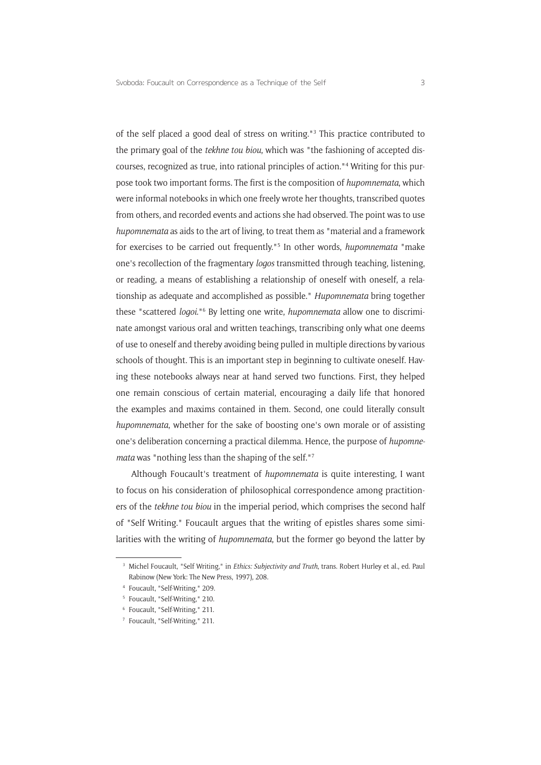of the self placed a good deal of stress on writing."3 This practice contributed to the primary goal of the *tekhne tou biou*, which was "the fashioning of accepted discourses, recognized as true, into rational principles of action."4 Writing for this purpose took two important forms. The first is the composition of *hupomnemata*, which were informal notebooks in which one freely wrote her thoughts, transcribed quotes from others, and recorded events and actions she had observed. The point was to use *hupomnemata* as aids to the art of living, to treat them as "material and a framework for exercises to be carried out frequently."5 In other words, *hupomnemata* "make one's recollection of the fragmentary *logos* transmitted through teaching, listening, or reading, a means of establishing a relationship of oneself with oneself, a relationship as adequate and accomplished as possible." *Hupomnemata* bring together these "scattered *logoi*."6 By letting one write, *hupomnemata* allow one to discriminate amongst various oral and written teachings, transcribing only what one deems of use to oneself and thereby avoiding being pulled in multiple directions by various schools of thought. This is an important step in beginning to cultivate oneself. Having these notebooks always near at hand served two functions. First, they helped one remain conscious of certain material, encouraging a daily life that honored the examples and maxims contained in them. Second, one could literally consult *hupomnemata*, whether for the sake of boosting one's own morale or of assisting one's deliberation concerning a practical dilemma. Hence, the purpose of *hupomnemata* was "nothing less than the shaping of the self."7

Although Foucault's treatment of *hupomnemata* is quite interesting, I want to focus on his consideration of philosophical correspondence among practitioners of the *tekhne tou biou* in the imperial period, which comprises the second half of "Self Writing." Foucault argues that the writing of epistles shares some similarities with the writing of *hupomnemata*, but the former go beyond the latter by

<sup>3</sup> Michel Foucault, "Self Writing," in *Ethics: Subjectivity and Truth*, trans. Robert Hurley et al., ed. Paul Rabinow (New York: The New Press, 1997), 208.

<sup>4</sup> Foucault, "Self-Writing," 209.

<sup>5</sup> Foucault, "Self-Writing," 210.

<sup>6</sup> Foucault, "Self-Writing," 211.

<sup>7</sup> Foucault, "Self-Writing," 211.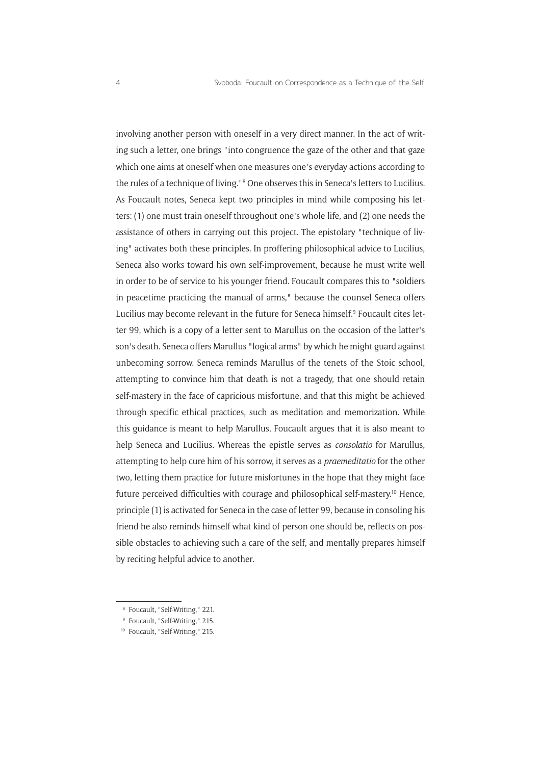involving another person with oneself in a very direct manner. In the act of writing such a letter, one brings "into congruence the gaze of the other and that gaze which one aims at oneself when one measures one's everyday actions according to the rules of a technique of living."<sup>8</sup> One observes this in Seneca's letters to Lucilius. As Foucault notes, Seneca kept two principles in mind while composing his letters: (1) one must train oneself throughout one's whole life, and (2) one needs the assistance of others in carrying out this project. The epistolary "technique of living" activates both these principles. In proffering philosophical advice to Lucilius, Seneca also works toward his own self-improvement, because he must write well in order to be of service to his younger friend. Foucault compares this to "soldiers in peacetime practicing the manual of arms," because the counsel Seneca offers Lucilius may become relevant in the future for Seneca himself.<sup>9</sup> Foucault cites letter 99, which is a copy of a letter sent to Marullus on the occasion of the latter's son's death. Seneca offers Marullus "logical arms" by which he might guard against unbecoming sorrow. Seneca reminds Marullus of the tenets of the Stoic school, attempting to convince him that death is not a tragedy, that one should retain self-mastery in the face of capricious misfortune, and that this might be achieved through specific ethical practices, such as meditation and memorization. While this guidance is meant to help Marullus, Foucault argues that it is also meant to help Seneca and Lucilius. Whereas the epistle serves as *consolatio* for Marullus, attempting to help cure him of his sorrow, it serves as a *praemeditatio* for the other two, letting them practice for future misfortunes in the hope that they might face future perceived difficulties with courage and philosophical self-mastery.10 Hence, principle (1) is activated for Seneca in the case of letter 99, because in consoling his friend he also reminds himself what kind of person one should be, reflects on possible obstacles to achieving such a care of the self, and mentally prepares himself by reciting helpful advice to another.

<sup>8</sup> Foucault, "Self-Writing," 221.

<sup>9</sup> Foucault, "Self-Writing," 215.

<sup>10</sup> Foucault, "Self-Writing," 215.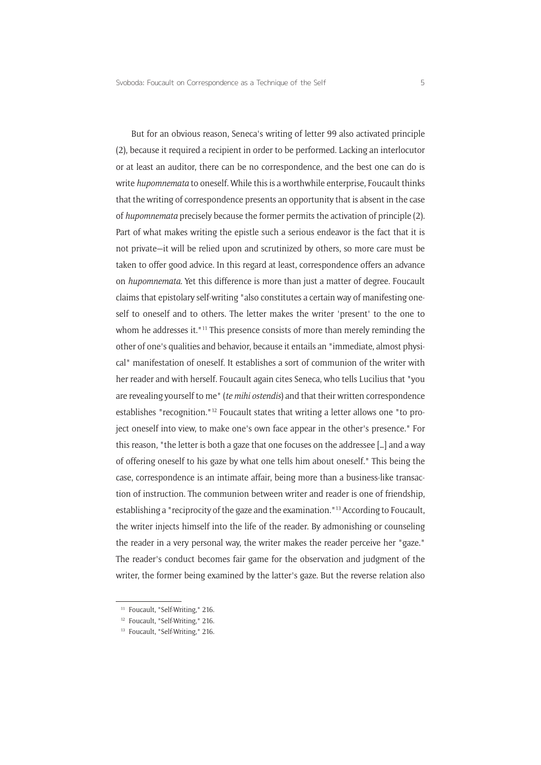But for an obvious reason, Seneca's writing of letter 99 also activated principle (2), because it required a recipient in order to be performed. Lacking an interlocutor or at least an auditor, there can be no correspondence, and the best one can do is write *hupomnemata* to oneself. While this is a worthwhile enterprise, Foucault thinks that the writing of correspondence presents an opportunity that is absent in the case of *hupomnemata* precisely because the former permits the activation of principle (2). Part of what makes writing the epistle such a serious endeavor is the fact that it is not private—it will be relied upon and scrutinized by others, so more care must be taken to offer good advice. In this regard at least, correspondence offers an advance on *hupomnemata*. Yet this difference is more than just a matter of degree. Foucault claims that epistolary self-writing "also constitutes a certain way of manifesting oneself to oneself and to others. The letter makes the writer 'present' to the one to whom he addresses it."<sup>11</sup> This presence consists of more than merely reminding the other of one's qualities and behavior, because it entails an "immediate, almost physical" manifestation of oneself. It establishes a sort of communion of the writer with her reader and with herself. Foucault again cites Seneca, who tells Lucilius that "you are revealing yourself to me" (*te mihi ostendis*) and that their written correspondence establishes "recognition."12 Foucault states that writing a letter allows one "to project oneself into view, to make one's own face appear in the other's presence." For this reason, "the letter is both a gaze that one focuses on the addressee […] and a way of offering oneself to his gaze by what one tells him about oneself." This being the case, correspondence is an intimate affair, being more than a business-like transaction of instruction. The communion between writer and reader is one of friendship, establishing a "reciprocity of the gaze and the examination."13 According to Foucault, the writer injects himself into the life of the reader. By admonishing or counseling the reader in a very personal way, the writer makes the reader perceive her "gaze." The reader's conduct becomes fair game for the observation and judgment of the writer, the former being examined by the latter's gaze. But the reverse relation also

<sup>&</sup>lt;sup>11</sup> Foucault, "Self-Writing," 216.

<sup>12</sup> Foucault, "Self-Writing," 216.

<sup>&</sup>lt;sup>13</sup> Foucault, "Self-Writing," 216.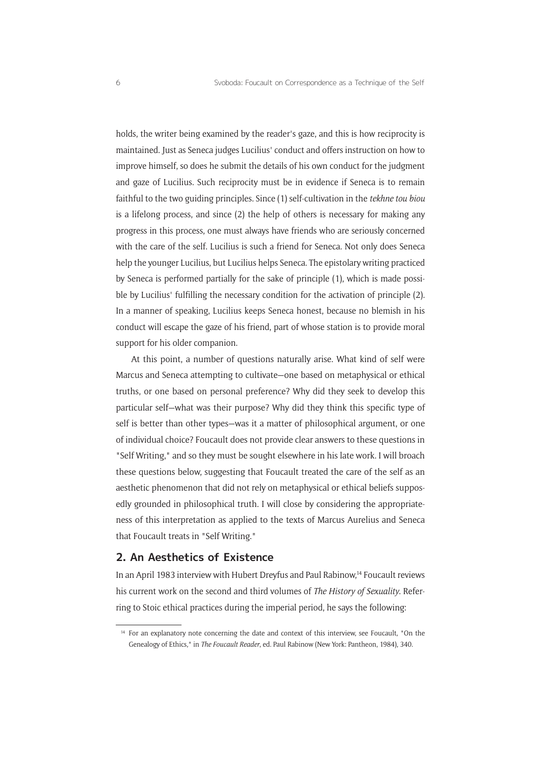holds, the writer being examined by the reader's gaze, and this is how reciprocity is maintained. Just as Seneca judges Lucilius' conduct and offers instruction on how to improve himself, so does he submit the details of his own conduct for the judgment and gaze of Lucilius. Such reciprocity must be in evidence if Seneca is to remain faithful to the two guiding principles. Since (1) self-cultivation in the *tekhne tou biou* is a lifelong process, and since (2) the help of others is necessary for making any progress in this process, one must always have friends who are seriously concerned with the care of the self. Lucilius is such a friend for Seneca. Not only does Seneca help the younger Lucilius, but Lucilius helps Seneca. The epistolary writing practiced by Seneca is performed partially for the sake of principle (1), which is made possible by Lucilius' fulfilling the necessary condition for the activation of principle (2). In a manner of speaking, Lucilius keeps Seneca honest, because no blemish in his conduct will escape the gaze of his friend, part of whose station is to provide moral support for his older companion.

At this point, a number of questions naturally arise. What kind of self were Marcus and Seneca attempting to cultivate—one based on metaphysical or ethical truths, or one based on personal preference? Why did they seek to develop this particular self—what was their purpose? Why did they think this specific type of self is better than other types—was it a matter of philosophical argument, or one of individual choice? Foucault does not provide clear answers to these questions in "Self Writing," and so they must be sought elsewhere in his late work. I will broach these questions below, suggesting that Foucault treated the care of the self as an aesthetic phenomenon that did not rely on metaphysical or ethical beliefs supposedly grounded in philosophical truth. I will close by considering the appropriateness of this interpretation as applied to the texts of Marcus Aurelius and Seneca that Foucault treats in "Self Writing."

#### **2. An Aesthetics of Existence**

In an April 1983 interview with Hubert Dreyfus and Paul Rabinow,14 Foucault reviews his current work on the second and third volumes of *The History of Sexuality*. Referring to Stoic ethical practices during the imperial period, he says the following:

<sup>&</sup>lt;sup>14</sup> For an explanatory note concerning the date and context of this interview, see Foucault, "On the Genealogy of Ethics," in *The Foucault Reader*, ed. Paul Rabinow (New York: Pantheon, 1984), 340.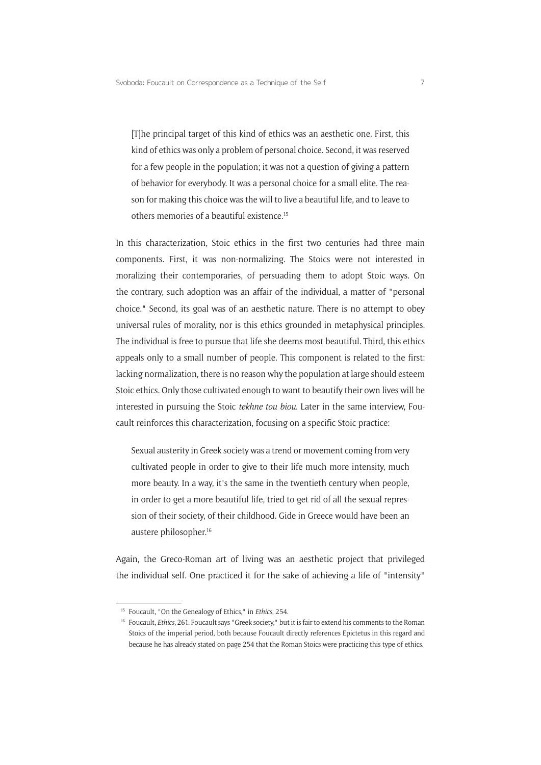[T]he principal target of this kind of ethics was an aesthetic one. First, this kind of ethics was only a problem of personal choice. Second, it was reserved for a few people in the population; it was not a question of giving a pattern of behavior for everybody. It was a personal choice for a small elite. The reason for making this choice was the will to live a beautiful life, and to leave to others memories of a beautiful existence.15

In this characterization, Stoic ethics in the first two centuries had three main components. First, it was non-normalizing. The Stoics were not interested in moralizing their contemporaries, of persuading them to adopt Stoic ways. On the contrary, such adoption was an affair of the individual, a matter of "personal choice." Second, its goal was of an aesthetic nature. There is no attempt to obey universal rules of morality, nor is this ethics grounded in metaphysical principles. The individual is free to pursue that life she deems most beautiful. Third, this ethics appeals only to a small number of people. This component is related to the first: lacking normalization, there is no reason why the population at large should esteem Stoic ethics. Only those cultivated enough to want to beautify their own lives will be interested in pursuing the Stoic *tekhne tou biou*. Later in the same interview, Foucault reinforces this characterization, focusing on a specific Stoic practice:

Sexual austerity in Greek society was a trend or movement coming from very cultivated people in order to give to their life much more intensity, much more beauty. In a way, it's the same in the twentieth century when people, in order to get a more beautiful life, tried to get rid of all the sexual repression of their society, of their childhood. Gide in Greece would have been an austere philosopher.16

Again, the Greco-Roman art of living was an aesthetic project that privileged the individual self. One practiced it for the sake of achieving a life of "intensity"

<sup>15</sup> Foucault, "On the Genealogy of Ethics," in *Ethics*, 254.

<sup>&</sup>lt;sup>16</sup> Foucault, *Ethics*, 261. Foucault says "Greek society," but it is fair to extend his comments to the Roman Stoics of the imperial period, both because Foucault directly references Epictetus in this regard and because he has already stated on page 254 that the Roman Stoics were practicing this type of ethics.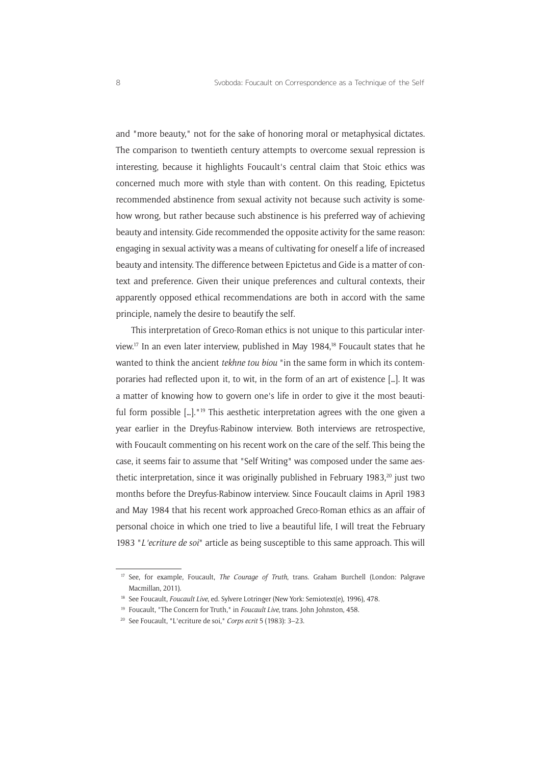and "more beauty," not for the sake of honoring moral or metaphysical dictates. The comparison to twentieth century attempts to overcome sexual repression is interesting, because it highlights Foucault's central claim that Stoic ethics was concerned much more with style than with content. On this reading, Epictetus recommended abstinence from sexual activity not because such activity is somehow wrong, but rather because such abstinence is his preferred way of achieving beauty and intensity. Gide recommended the opposite activity for the same reason: engaging in sexual activity was a means of cultivating for oneself a life of increased beauty and intensity. The difference between Epictetus and Gide is a matter of context and preference. Given their unique preferences and cultural contexts, their apparently opposed ethical recommendations are both in accord with the same principle, namely the desire to beautify the self.

This interpretation of Greco-Roman ethics is not unique to this particular interview.17 In an even later interview, published in May 1984,18 Foucault states that he wanted to think the ancient *tekhne tou biou* "in the same form in which its contemporaries had reflected upon it, to wit, in the form of an art of existence […]. It was a matter of knowing how to govern one's life in order to give it the most beautiful form possible [...]."<sup>19</sup> This aesthetic interpretation agrees with the one given a year earlier in the Dreyfus-Rabinow interview. Both interviews are retrospective, with Foucault commenting on his recent work on the care of the self. This being the case, it seems fair to assume that "Self Writing" was composed under the same aesthetic interpretation, since it was originally published in February 1983, $20$  just two months before the Dreyfus-Rabinow interview. Since Foucault claims in April 1983 and May 1984 that his recent work approached Greco-Roman ethics as an affair of personal choice in which one tried to live a beautiful life, I will treat the February 1983 "*L'ecriture de soi*" article as being susceptible to this same approach. This will

<sup>17</sup> See, for example, Foucault, *The Courage of Truth*, trans. Graham Burchell (London: Palgrave Macmillan, 2011).

<sup>&</sup>lt;sup>18</sup> See Foucault, *Foucault Live*, ed. Sylvere Lotringer (New York: Semiotext(e), 1996), 478.

<sup>19</sup> Foucault, "The Concern for Truth," in *Foucault Live*, trans. John Johnston, 458.

<sup>20</sup> See Foucault, "L'ecriture de soi," *Corps ecrit* 5 (1983): 3–23.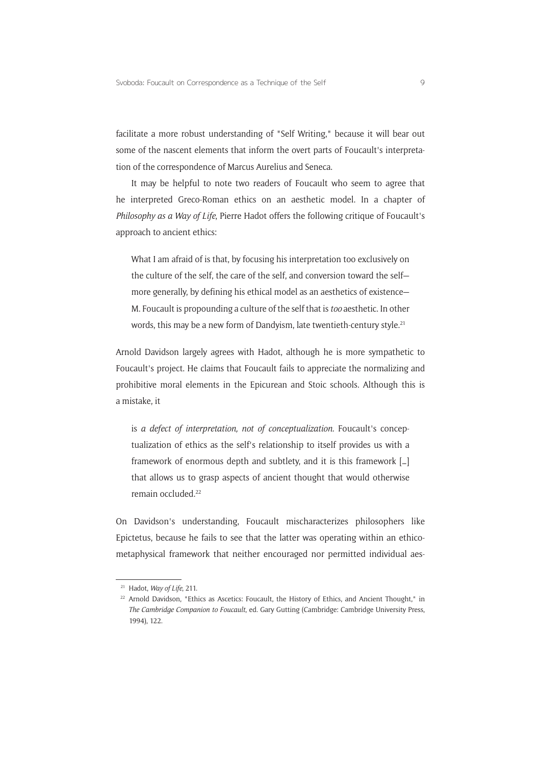facilitate a more robust understanding of "Self Writing," because it will bear out some of the nascent elements that inform the overt parts of Foucault's interpretation of the correspondence of Marcus Aurelius and Seneca.

It may be helpful to note two readers of Foucault who seem to agree that he interpreted Greco-Roman ethics on an aesthetic model. In a chapter of *Philosophy as a Way of Life*, Pierre Hadot offers the following critique of Foucault's approach to ancient ethics:

What I am afraid of is that, by focusing his interpretation too exclusively on the culture of the self, the care of the self, and conversion toward the self more generally, by defining his ethical model as an aesthetics of existence— M. Foucault is propounding a culture of the self that is *too* aesthetic. In other words, this may be a new form of Dandyism, late twentieth-century style.<sup>21</sup>

Arnold Davidson largely agrees with Hadot, although he is more sympathetic to Foucault's project. He claims that Foucault fails to appreciate the normalizing and prohibitive moral elements in the Epicurean and Stoic schools. Although this is a mistake, it

is *a defect of interpretation, not of conceptualization*. Foucault's conceptualization of ethics as the self's relationship to itself provides us with a framework of enormous depth and subtlety, and it is this framework […] that allows us to grasp aspects of ancient thought that would otherwise remain occluded.<sup>22</sup>

On Davidson's understanding, Foucault mischaracterizes philosophers like Epictetus, because he fails to see that the latter was operating within an ethicometaphysical framework that neither encouraged nor permitted individual aes-

<sup>21</sup> Hadot, *Way of Life*, 211.

<sup>&</sup>lt;sup>22</sup> Arnold Davidson, "Ethics as Ascetics: Foucault, the History of Ethics, and Ancient Thought," in *The Cambridge Companion to Foucault*, ed. Gary Gutting (Cambridge: Cambridge University Press, 1994), 122.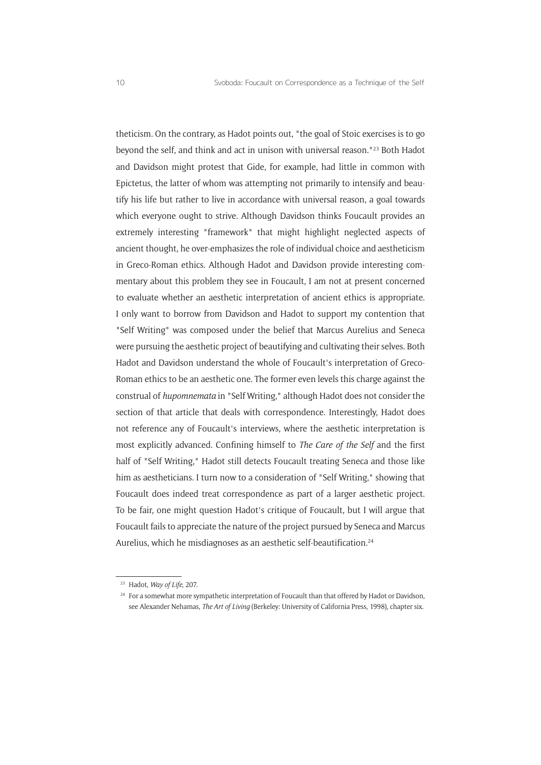theticism. On the contrary, as Hadot points out, "the goal of Stoic exercises is to go beyond the self, and think and act in unison with universal reason."23 Both Hadot and Davidson might protest that Gide, for example, had little in common with Epictetus, the latter of whom was attempting not primarily to intensify and beautify his life but rather to live in accordance with universal reason, a goal towards which everyone ought to strive. Although Davidson thinks Foucault provides an extremely interesting "framework" that might highlight neglected aspects of ancient thought, he over-emphasizes the role of individual choice and aestheticism in Greco-Roman ethics. Although Hadot and Davidson provide interesting commentary about this problem they see in Foucault, I am not at present concerned to evaluate whether an aesthetic interpretation of ancient ethics is appropriate. I only want to borrow from Davidson and Hadot to support my contention that "Self Writing" was composed under the belief that Marcus Aurelius and Seneca were pursuing the aesthetic project of beautifying and cultivating their selves. Both Hadot and Davidson understand the whole of Foucault's interpretation of Greco-Roman ethics to be an aesthetic one. The former even levels this charge against the construal of *hupomnemata* in "Self Writing," although Hadot does not consider the section of that article that deals with correspondence. Interestingly, Hadot does not reference any of Foucault's interviews, where the aesthetic interpretation is most explicitly advanced. Confining himself to *The Care of the Self* and the first half of "Self Writing," Hadot still detects Foucault treating Seneca and those like him as aestheticians. I turn now to a consideration of "Self Writing," showing that Foucault does indeed treat correspondence as part of a larger aesthetic project. To be fair, one might question Hadot's critique of Foucault, but I will argue that Foucault fails to appreciate the nature of the project pursued by Seneca and Marcus Aurelius, which he misdiagnoses as an aesthetic self-beautification.<sup>24</sup>

<sup>23</sup> Hadot, *Way of Life*, 207.

<sup>&</sup>lt;sup>24</sup> For a somewhat more sympathetic interpretation of Foucault than that offered by Hadot or Davidson, see Alexander Nehamas, *The Art of Living* (Berkeley: University of California Press, 1998), chapter six.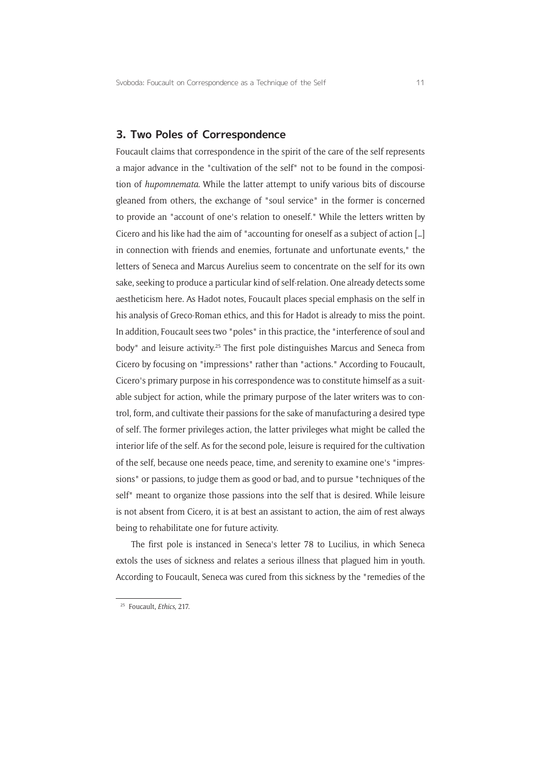#### **3. Two Poles of Correspondence**

Foucault claims that correspondence in the spirit of the care of the self represents a major advance in the "cultivation of the self" not to be found in the composition of *hupomnemata*. While the latter attempt to unify various bits of discourse gleaned from others, the exchange of "soul service" in the former is concerned to provide an "account of one's relation to oneself." While the letters written by Cicero and his like had the aim of "accounting for oneself as a subject of action […] in connection with friends and enemies, fortunate and unfortunate events," the letters of Seneca and Marcus Aurelius seem to concentrate on the self for its own sake, seeking to produce a particular kind of self-relation. One already detects some aestheticism here. As Hadot notes, Foucault places special emphasis on the self in his analysis of Greco-Roman ethics, and this for Hadot is already to miss the point. In addition, Foucault sees two "poles" in this practice, the "interference of soul and body" and leisure activity.<sup>25</sup> The first pole distinguishes Marcus and Seneca from Cicero by focusing on "impressions" rather than "actions." According to Foucault, Cicero's primary purpose in his correspondence was to constitute himself as a suitable subject for action, while the primary purpose of the later writers was to control, form, and cultivate their passions for the sake of manufacturing a desired type of self. The former privileges action, the latter privileges what might be called the interior life of the self. As for the second pole, leisure is required for the cultivation of the self, because one needs peace, time, and serenity to examine one's "impressions" or passions, to judge them as good or bad, and to pursue "techniques of the self" meant to organize those passions into the self that is desired. While leisure is not absent from Cicero, it is at best an assistant to action, the aim of rest always being to rehabilitate one for future activity.

The first pole is instanced in Seneca's letter 78 to Lucilius, in which Seneca extols the uses of sickness and relates a serious illness that plagued him in youth. According to Foucault, Seneca was cured from this sickness by the "remedies of the

<sup>25</sup> Foucault, *Ethics*, 217.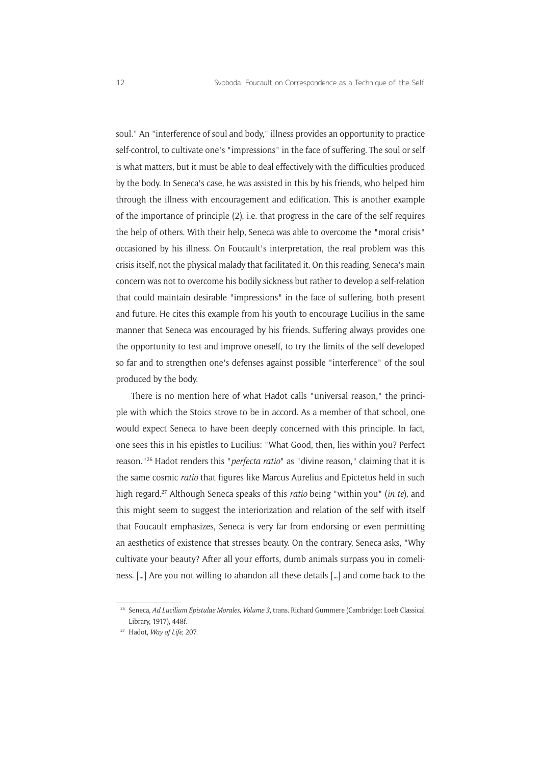soul." An "interference of soul and body," illness provides an opportunity to practice self-control, to cultivate one's "impressions" in the face of suffering. The soul or self is what matters, but it must be able to deal effectively with the difficulties produced by the body. In Seneca's case, he was assisted in this by his friends, who helped him through the illness with encouragement and edification. This is another example of the importance of principle (2), i.e. that progress in the care of the self requires the help of others. With their help, Seneca was able to overcome the "moral crisis" occasioned by his illness. On Foucault's interpretation, the real problem was this crisis itself, not the physical malady that facilitated it. On this reading, Seneca's main concern was not to overcome his bodily sickness but rather to develop a self-relation that could maintain desirable "impressions" in the face of suffering, both present and future. He cites this example from his youth to encourage Lucilius in the same manner that Seneca was encouraged by his friends. Suffering always provides one the opportunity to test and improve oneself, to try the limits of the self developed so far and to strengthen one's defenses against possible "interference" of the soul produced by the body.

There is no mention here of what Hadot calls "universal reason," the principle with which the Stoics strove to be in accord. As a member of that school, one would expect Seneca to have been deeply concerned with this principle. In fact, one sees this in his epistles to Lucilius: "What Good, then, lies within you? Perfect reason."26 Hadot renders this "*perfecta ratio*" as "divine reason," claiming that it is the same cosmic *ratio* that figures like Marcus Aurelius and Epictetus held in such high regard.27 Although Seneca speaks of this *ratio* being "within you" (*in te*), and this might seem to suggest the interiorization and relation of the self with itself that Foucault emphasizes, Seneca is very far from endorsing or even permitting an aesthetics of existence that stresses beauty. On the contrary, Seneca asks, "Why cultivate your beauty? After all your efforts, dumb animals surpass you in comeliness. […] Are you not willing to abandon all these details […] and come back to the

<sup>26</sup> Seneca, *Ad Lucilium Epistulae Morales, Volume 3*, trans. Richard Gummere (Cambridge: Loeb Classical Library, 1917), 448f.

<sup>27</sup> Hadot, *Way of Life*, 207.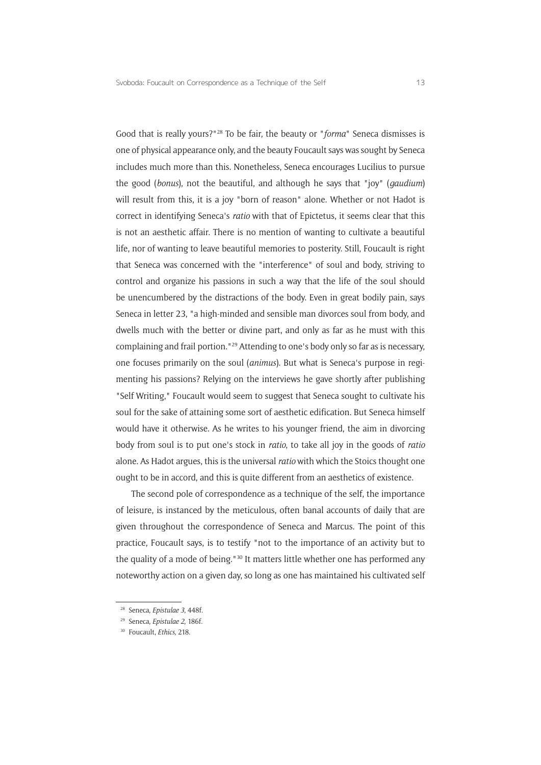Good that is really yours?"28 To be fair, the beauty or "*forma*" Seneca dismisses is one of physical appearance only, and the beauty Foucault says was sought by Seneca includes much more than this. Nonetheless, Seneca encourages Lucilius to pursue the good (*bonus*), not the beautiful, and although he says that "joy" (*gaudium*) will result from this, it is a joy "born of reason" alone. Whether or not Hadot is correct in identifying Seneca's *ratio* with that of Epictetus, it seems clear that this is not an aesthetic affair. There is no mention of wanting to cultivate a beautiful life, nor of wanting to leave beautiful memories to posterity. Still, Foucault is right that Seneca was concerned with the "interference" of soul and body, striving to control and organize his passions in such a way that the life of the soul should be unencumbered by the distractions of the body. Even in great bodily pain, says Seneca in letter 23, "a high-minded and sensible man divorces soul from body, and dwells much with the better or divine part, and only as far as he must with this complaining and frail portion."29 Attending to one's body only so far as is necessary, one focuses primarily on the soul (*animus*). But what is Seneca's purpose in regimenting his passions? Relying on the interviews he gave shortly after publishing "Self Writing," Foucault would seem to suggest that Seneca sought to cultivate his soul for the sake of attaining some sort of aesthetic edification. But Seneca himself would have it otherwise. As he writes to his younger friend, the aim in divorcing body from soul is to put one's stock in *ratio*, to take all joy in the goods of *ratio* alone. As Hadot argues, this is the universal *ratio* with which the Stoics thought one ought to be in accord, and this is quite different from an aesthetics of existence.

The second pole of correspondence as a technique of the self, the importance of leisure, is instanced by the meticulous, often banal accounts of daily that are given throughout the correspondence of Seneca and Marcus. The point of this practice, Foucault says, is to testify "not to the importance of an activity but to the quality of a mode of being."30 It matters little whether one has performed any noteworthy action on a given day, so long as one has maintained his cultivated self

<sup>28</sup> Seneca, *Epistulae 3*, 448f.

<sup>29</sup> Seneca, *Epistulae 2*, 186f.

<sup>30</sup> Foucault, *Ethics*, 218.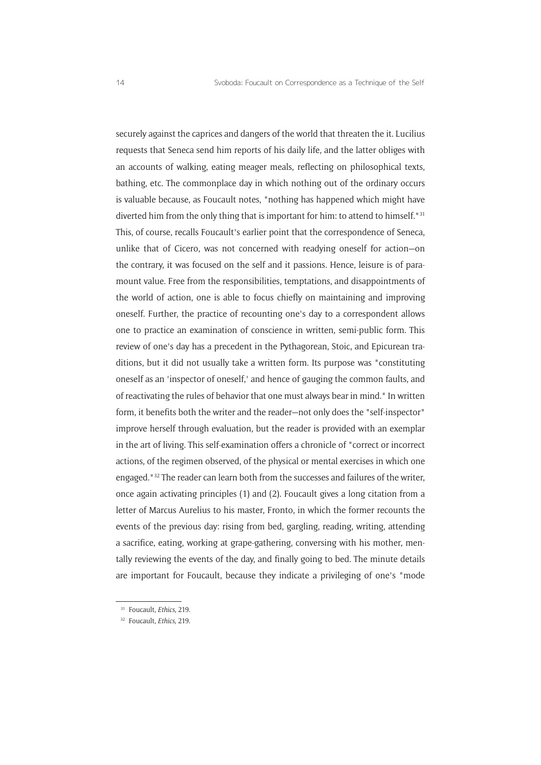securely against the caprices and dangers of the world that threaten the it. Lucilius requests that Seneca send him reports of his daily life, and the latter obliges with an accounts of walking, eating meager meals, reflecting on philosophical texts, bathing, etc. The commonplace day in which nothing out of the ordinary occurs is valuable because, as Foucault notes, "nothing has happened which might have diverted him from the only thing that is important for him: to attend to himself."31 This, of course, recalls Foucault's earlier point that the correspondence of Seneca, unlike that of Cicero, was not concerned with readying oneself for action—on the contrary, it was focused on the self and it passions. Hence, leisure is of paramount value. Free from the responsibilities, temptations, and disappointments of the world of action, one is able to focus chiefly on maintaining and improving oneself. Further, the practice of recounting one's day to a correspondent allows one to practice an examination of conscience in written, semi-public form. This review of one's day has a precedent in the Pythagorean, Stoic, and Epicurean traditions, but it did not usually take a written form. Its purpose was "constituting oneself as an 'inspector of oneself,' and hence of gauging the common faults, and of reactivating the rules of behavior that one must always bear in mind." In written form, it benefits both the writer and the reader—not only does the "self-inspector" improve herself through evaluation, but the reader is provided with an exemplar in the art of living. This self-examination offers a chronicle of "correct or incorrect actions, of the regimen observed, of the physical or mental exercises in which one engaged."32 The reader can learn both from the successes and failures of the writer, once again activating principles (1) and (2). Foucault gives a long citation from a letter of Marcus Aurelius to his master, Fronto, in which the former recounts the events of the previous day: rising from bed, gargling, reading, writing, attending a sacrifice, eating, working at grape-gathering, conversing with his mother, mentally reviewing the events of the day, and finally going to bed. The minute details are important for Foucault, because they indicate a privileging of one's "mode

<sup>31</sup> Foucault, *Ethics*, 219.

<sup>32</sup> Foucault, *Ethics*, 219.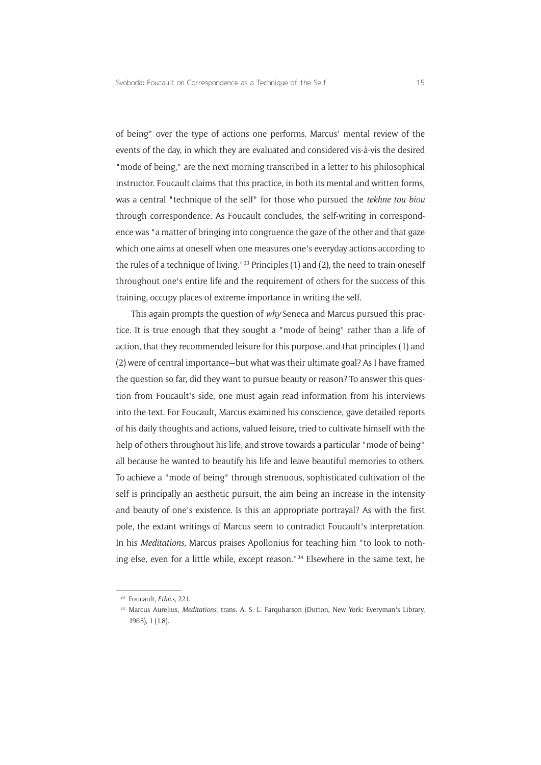of being" over the type of actions one performs. Marcus' mental review of the events of the day, in which they are evaluated and considered vis-à-vis the desired "mode of being," are the next morning transcribed in a letter to his philosophical instructor. Foucault claims that this practice, in both its mental and written forms, was a central "technique of the self" for those who pursued the *tekhne tou biou* through correspondence. As Foucault concludes, the self-writing in correspondence was "a matter of bringing into congruence the gaze of the other and that gaze which one aims at oneself when one measures one's everyday actions according to the rules of a technique of living."<sup>33</sup> Principles (1) and (2), the need to train oneself throughout one's entire life and the requirement of others for the success of this training, occupy places of extreme importance in writing the self.

This again prompts the question of *why* Seneca and Marcus pursued this practice. It is true enough that they sought a "mode of being" rather than a life of action, that they recommended leisure for this purpose, and that principles (1) and (2) were of central importance—but what was their ultimate goal? As I have framed the question so far, did they want to pursue beauty or reason? To answer this question from Foucault's side, one must again read information from his interviews into the text. For Foucault, Marcus examined his conscience, gave detailed reports of his daily thoughts and actions, valued leisure, tried to cultivate himself with the help of others throughout his life, and strove towards a particular "mode of being" all because he wanted to beautify his life and leave beautiful memories to others. To achieve a "mode of being" through strenuous, sophisticated cultivation of the self is principally an aesthetic pursuit, the aim being an increase in the intensity and beauty of one's existence. Is this an appropriate portrayal? As with the first pole, the extant writings of Marcus seem to contradict Foucault's interpretation. In his *Meditations*, Marcus praises Apollonius for teaching him "to look to nothing else, even for a little while, except reason."<sup>34</sup> Elsewhere in the same text, he

<sup>33</sup> Foucault, *Ethics*, 221.

<sup>34</sup> Marcus Aurelius, *Meditations*, trans. A. S. L. Farquharson (Dutton, New York: Everyman's Library, 1965), 1 (1.8).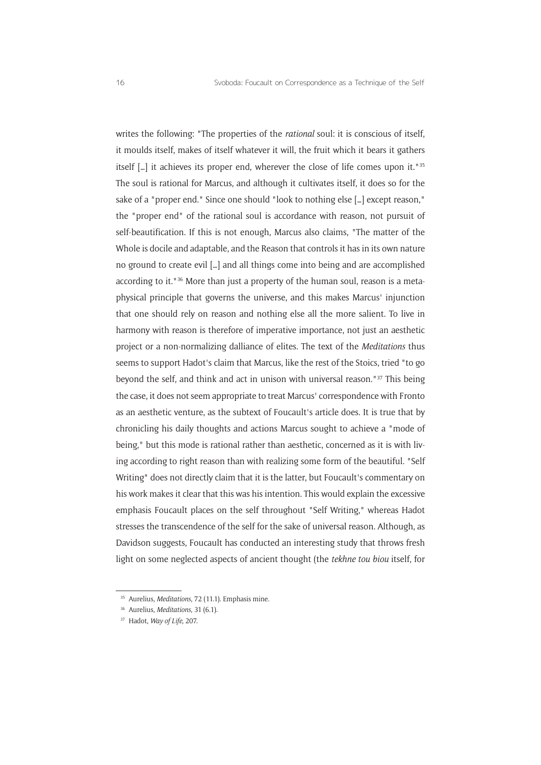writes the following: "The properties of the *rational* soul: it is conscious of itself, it moulds itself, makes of itself whatever it will, the fruit which it bears it gathers itself […] it achieves its proper end, wherever the close of life comes upon it."35 The soul is rational for Marcus, and although it cultivates itself, it does so for the sake of a "proper end." Since one should "look to nothing else […] except reason," the "proper end" of the rational soul is accordance with reason, not pursuit of self-beautification. If this is not enough, Marcus also claims, "The matter of the Whole is docile and adaptable, and the Reason that controls it has in its own nature no ground to create evil […] and all things come into being and are accomplished according to it."36 More than just a property of the human soul, reason is a metaphysical principle that governs the universe, and this makes Marcus' injunction that one should rely on reason and nothing else all the more salient. To live in harmony with reason is therefore of imperative importance, not just an aesthetic project or a non-normalizing dalliance of elites. The text of the *Meditations* thus seems to support Hadot's claim that Marcus, like the rest of the Stoics, tried "to go beyond the self, and think and act in unison with universal reason."37 This being the case, it does not seem appropriate to treat Marcus' correspondence with Fronto as an aesthetic venture, as the subtext of Foucault's article does. It is true that by chronicling his daily thoughts and actions Marcus sought to achieve a "mode of being," but this mode is rational rather than aesthetic, concerned as it is with living according to right reason than with realizing some form of the beautiful. "Self Writing" does not directly claim that it is the latter, but Foucault's commentary on his work makes it clear that this was his intention. This would explain the excessive emphasis Foucault places on the self throughout "Self Writing," whereas Hadot stresses the transcendence of the self for the sake of universal reason. Although, as Davidson suggests, Foucault has conducted an interesting study that throws fresh light on some neglected aspects of ancient thought (the *tekhne tou biou* itself, for

<sup>35</sup> Aurelius, *Meditations*, 72 (11.1). Emphasis mine.

<sup>36</sup> Aurelius, *Meditations*, 31 (6.1).

<sup>37</sup> Hadot, *Way of Life*, 207.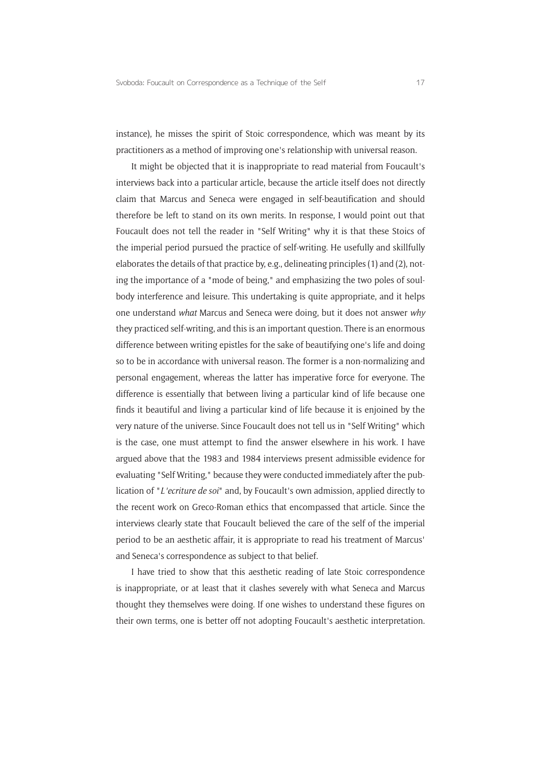instance), he misses the spirit of Stoic correspondence, which was meant by its practitioners as a method of improving one's relationship with universal reason.

It might be objected that it is inappropriate to read material from Foucault's interviews back into a particular article, because the article itself does not directly claim that Marcus and Seneca were engaged in self-beautification and should therefore be left to stand on its own merits. In response, I would point out that Foucault does not tell the reader in "Self Writing" why it is that these Stoics of the imperial period pursued the practice of self-writing. He usefully and skillfully elaborates the details of that practice by, e.g., delineating principles (1) and (2), noting the importance of a "mode of being," and emphasizing the two poles of soulbody interference and leisure. This undertaking is quite appropriate, and it helps one understand *what* Marcus and Seneca were doing, but it does not answer *why* they practiced self-writing, and this is an important question. There is an enormous difference between writing epistles for the sake of beautifying one's life and doing so to be in accordance with universal reason. The former is a non-normalizing and personal engagement, whereas the latter has imperative force for everyone. The difference is essentially that between living a particular kind of life because one finds it beautiful and living a particular kind of life because it is enjoined by the very nature of the universe. Since Foucault does not tell us in "Self Writing" which is the case, one must attempt to find the answer elsewhere in his work. I have argued above that the 1983 and 1984 interviews present admissible evidence for evaluating "Self Writing," because they were conducted immediately after the publication of "*L'ecriture de soi*" and, by Foucault's own admission, applied directly to the recent work on Greco-Roman ethics that encompassed that article. Since the interviews clearly state that Foucault believed the care of the self of the imperial period to be an aesthetic affair, it is appropriate to read his treatment of Marcus' and Seneca's correspondence as subject to that belief.

I have tried to show that this aesthetic reading of late Stoic correspondence is inappropriate, or at least that it clashes severely with what Seneca and Marcus thought they themselves were doing. If one wishes to understand these figures on their own terms, one is better off not adopting Foucault's aesthetic interpretation.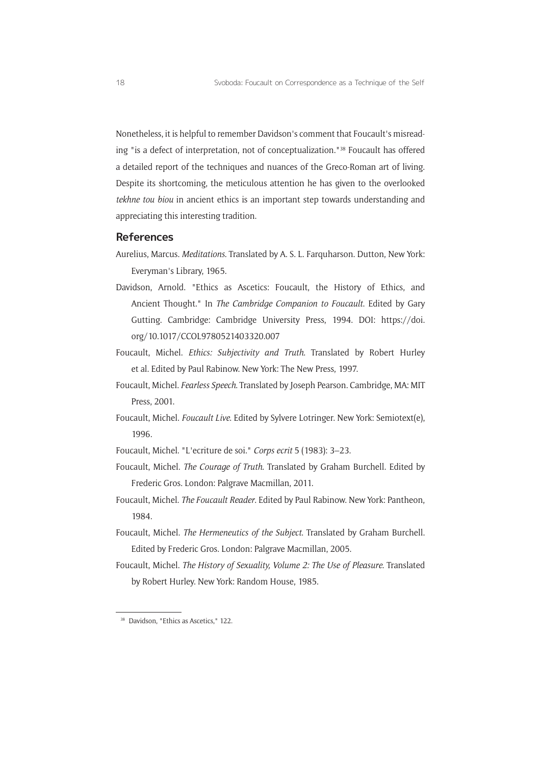Nonetheless, it is helpful to remember Davidson's comment that Foucault's misreading "is a defect of interpretation, not of conceptualization."38 Foucault has offered a detailed report of the techniques and nuances of the Greco-Roman art of living. Despite its shortcoming, the meticulous attention he has given to the overlooked *tekhne tou biou* in ancient ethics is an important step towards understanding and appreciating this interesting tradition.

#### **References**

Aurelius, Marcus. *Meditations*. Translated by A. S. L. Farquharson. Dutton, New York: Everyman's Library, 1965.

- Davidson, Arnold. "Ethics as Ascetics: Foucault, the History of Ethics, and Ancient Thought." In *The Cambridge Companion to Foucault*. Edited by Gary Gutting. Cambridge: Cambridge University Press, 1994. DOI: [https://doi.](https://doi.org/10.1017/CCOL9780521403320.007) [org/10.1017/CCOL9780521403320.007](https://doi.org/10.1017/CCOL9780521403320.007)
- Foucault, Michel. *Ethics: Subjectivity and Truth*. Translated by Robert Hurley et al. Edited by Paul Rabinow. New York: The New Press, 1997.
- Foucault, Michel. *Fearless Speech*. Translated by Joseph Pearson. Cambridge, MA: MIT Press, 2001.
- Foucault, Michel. *Foucault Live*. Edited by Sylvere Lotringer. New York: Semiotext(e), 1996.
- Foucault, Michel. "L'ecriture de soi." *Corps ecrit* 5 (1983): 3–23.
- Foucault, Michel. *The Courage of Truth*. Translated by Graham Burchell. Edited by Frederic Gros. London: Palgrave Macmillan, 2011.
- Foucault, Michel. *The Foucault Reader*. Edited by Paul Rabinow. New York: Pantheon, 1984.
- Foucault, Michel. *The Hermeneutics of the Subject*. Translated by Graham Burchell. Edited by Frederic Gros. London: Palgrave Macmillan, 2005.
- Foucault, Michel. *The History of Sexuality, Volume 2: The Use of Pleasure*. Translated by Robert Hurley. New York: Random House, 1985.

<sup>&</sup>lt;sup>38</sup> Davidson, "Ethics as Ascetics," 122.